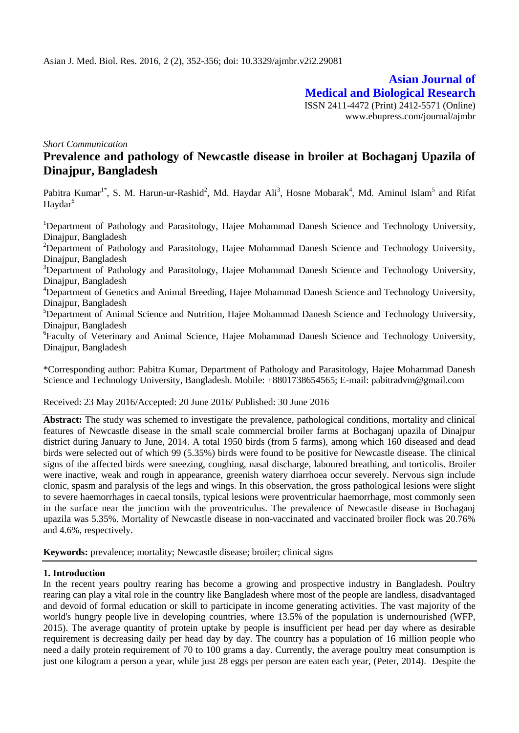**Asian Journal of Medical and Biological Research** ISSN 2411-4472 (Print) 2412-5571 (Online) www.ebupress.com/journal/ajmbr

*Short Communication*

# **Prevalence and pathology of Newcastle disease in broiler at Bochaganj Upazila of Dinajpur, Bangladesh**

Pabitra Kumar<sup>1\*</sup>, S. M. Harun-ur-Rashid<sup>2</sup>, Md. Haydar Ali<sup>3</sup>, Hosne Mobarak<sup>4</sup>, Md. Aminul Islam<sup>5</sup> and Rifat Haydar<sup>6</sup>

<sup>1</sup>Department of Pathology and Parasitology, Hajee Mohammad Danesh Science and Technology University, Dinajpur, Bangladesh

<sup>2</sup>Department of Pathology and Parasitology, Hajee Mohammad Danesh Science and Technology University, Dinajpur, Bangladesh

<sup>3</sup>Department of Pathology and Parasitology, Hajee Mohammad Danesh Science and Technology University, Dinajpur, Bangladesh

<sup>4</sup>Department of Genetics and Animal Breeding, Hajee Mohammad Danesh Science and Technology University, Dinajpur, Bangladesh

<sup>5</sup>Department of Animal Science and Nutrition, Hajee Mohammad Danesh Science and Technology University, Dinajpur, Bangladesh

<sup>6</sup>Faculty of Veterinary and Animal Science, Hajee Mohammad Danesh Science and Technology University, Dinajpur, Bangladesh

\*Corresponding author: Pabitra Kumar, Department of Pathology and Parasitology, Hajee Mohammad Danesh Science and Technology University, Bangladesh. Mobile: +8801738654565; E-mail: pabitradvm@gmail.com

#### Received: 23 May 2016/Accepted: 20 June 2016/ Published: 30 June 2016

**Abstract:** The study was schemed to investigate the prevalence, pathological conditions, mortality and clinical features of Newcastle disease in the small scale commercial broiler farms at Bochaganj upazila of Dinajpur district during January to June, 2014. A total 1950 birds (from 5 farms), among which 160 diseased and dead birds were selected out of which 99 (5.35%) birds were found to be positive for Newcastle disease. The clinical signs of the affected birds were sneezing, coughing, nasal discharge, laboured breathing, and torticolis. Broiler were inactive, weak and rough in appearance, greenish watery diarrhoea occur severely. Nervous sign include clonic, spasm and paralysis of the legs and wings. In this observation, the gross pathological lesions were slight to severe haemorrhages in caecal tonsils, typical lesions were proventricular haemorrhage, most commonly seen in the surface near the junction with the proventriculus. The prevalence of Newcastle disease in Bochaganj upazila was 5.35%. Mortality of Newcastle disease in non-vaccinated and vaccinated broiler flock was 20.76% and 4.6%, respectively.

**Keywords:** prevalence; mortality; Newcastle disease; broiler; clinical signs

## **1. Introduction**

In the recent years poultry rearing has become a growing and prospective industry in Bangladesh. Poultry rearing can play a vital role in the country like Bangladesh where most of the people are landless, disadvantaged and devoid of formal education or skill to participate in income generating activities. The vast majority of the world's hungry people live in developing countries, where 13.5% of the population is undernourished (WFP, 2015). The average quantity of protein uptake by people is insufficient per head per day where as desirable requirement is decreasing daily per head day by day. The country has a population of 16 million people who need a daily protein requirement of 70 to 100 grams a day. Currently, the average poultry meat consumption is just one kilogram a person a year, while just 28 eggs per person are eaten each year, (Peter, 2014). Despite the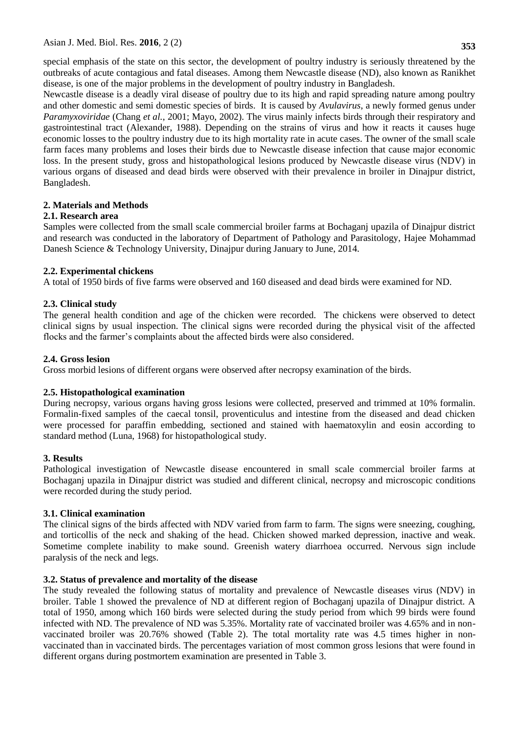special emphasis of the state on this sector, the development of poultry industry is seriously threatened by the outbreaks of acute contagious and fatal diseases. Among them Newcastle disease (ND), also known as Ranikhet disease, is one of the major problems in the development of poultry industry in Bangladesh.

Newcastle disease is a deadly viral disease of poultry due to its high and rapid spreading nature among poultry and other domestic and semi domestic species of birds. It is caused by *Avulavirus*, a newly formed genus under *Paramyxoviridae* (Chang *et al.*, 2001; Mayo, 2002). The virus mainly infects birds through their respiratory and gastrointestinal tract (Alexander, 1988). Depending on the strains of virus and how it reacts it causes huge economic losses to the poultry industry due to its high mortality rate in acute cases. The owner of the small scale farm faces many problems and loses their birds due to Newcastle disease infection that cause major economic loss. In the present study, gross and histopathological lesions produced by Newcastle disease virus (NDV) in various organs of diseased and dead birds were observed with their prevalence in broiler in Dinajpur district, Bangladesh.

# **2. Materials and Methods**

# **2.1. Research area**

Samples were collected from the small scale commercial broiler farms at Bochaganj upazila of Dinajpur district and research was conducted in the laboratory of Department of Pathology and Parasitology, Hajee Mohammad Danesh Science & Technology University, Dinajpur during January to June, 2014.

# **2.2. Experimental chickens**

A total of 1950 birds of five farms were observed and 160 diseased and dead birds were examined for ND.

# **2.3. Clinical study**

The general health condition and age of the chicken were recorded. The chickens were observed to detect clinical signs by usual inspection. The clinical signs were recorded during the physical visit of the affected flocks and the farmer's complaints about the affected birds were also considered.

# **2.4. Gross lesion**

Gross morbid lesions of different organs were observed after necropsy examination of the birds.

## **2.5. Histopathological examination**

During necropsy, various organs having gross lesions were collected, preserved and trimmed at 10% formalin. Formalin-fixed samples of the caecal tonsil, proventiculus and intestine from the diseased and dead chicken were processed for paraffin embedding, sectioned and stained with haematoxylin and eosin according to standard method (Luna, 1968) for histopathological study.

## **3. Results**

Pathological investigation of Newcastle disease encountered in small scale commercial broiler farms at Bochaganj upazila in Dinajpur district was studied and different clinical, necropsy and microscopic conditions were recorded during the study period.

## **3.1. Clinical examination**

The clinical signs of the birds affected with NDV varied from farm to farm. The signs were sneezing, coughing, and torticollis of the neck and shaking of the head. Chicken showed marked depression, inactive and weak. Sometime complete inability to make sound. Greenish watery diarrhoea occurred. Nervous sign include paralysis of the neck and legs.

# **3.2. Status of prevalence and mortality of the disease**

The study revealed the following status of mortality and prevalence of Newcastle diseases virus (NDV) in broiler. Table 1 showed the prevalence of ND at different region of Bochaganj upazila of Dinajpur district. A total of 1950, among which 160 birds were selected during the study period from which 99 birds were found infected with ND. The prevalence of ND was 5.35%. Mortality rate of vaccinated broiler was 4.65% and in nonvaccinated broiler was 20.76% showed (Table 2). The total mortality rate was 4.5 times higher in nonvaccinated than in vaccinated birds. The percentages variation of most common gross lesions that were found in different organs during postmortem examination are presented in Table 3.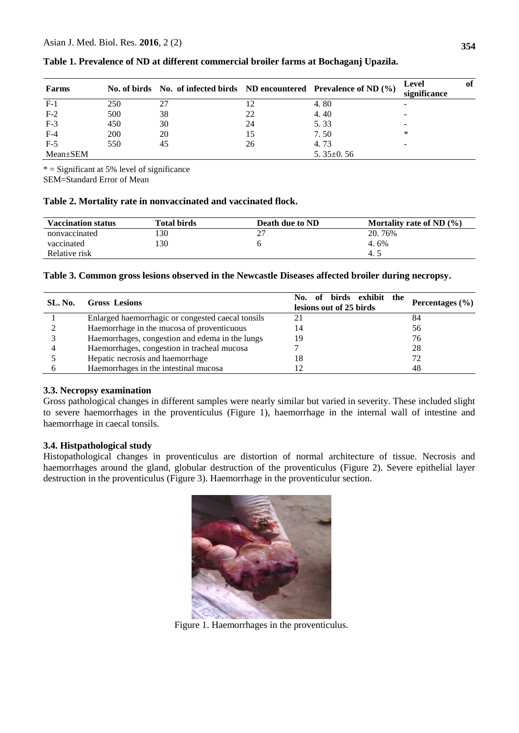| Farms    |     |    |    | No. of birds No. of infected birds ND encountered Prevalence of ND (%) | Level<br>significance    | of |
|----------|-----|----|----|------------------------------------------------------------------------|--------------------------|----|
| $F-1$    | 250 |    |    | 4.80                                                                   | <b>1</b>                 |    |
| $F-2$    | 500 | 38 | 22 | 4.40                                                                   | -                        |    |
| $F-3$    | 450 | 30 | 24 | 5.33                                                                   | $\overline{\phantom{a}}$ |    |
| $F-4$    | 200 | 20 |    | 7.50                                                                   | *                        |    |
| $F-5$    | 550 | 45 | 26 | 4.73                                                                   | $\overline{\phantom{a}}$ |    |
| Mean±SEM |     |    |    | 5. $35\pm0.56$                                                         |                          |    |

**Table 1. Prevalence of ND at different commercial broiler farms at Bochaganj Upazila.**

 $* =$  Significant at 5% level of significance

SEM=Standard Error of Mean

## **Table 2. Mortality rate in nonvaccinated and vaccinated flock.**

| <b>Vaccination status</b> | <b>Total birds</b> | Death due to ND | Mortality rate of ND $(\% )$ |
|---------------------------|--------------------|-----------------|------------------------------|
| nonvaccinated             | 30                 | ∼               | 20.76%                       |
| vaccinated                | 130                |                 | $4.6\%$                      |
| Relative risk             |                    |                 | $-4.$                        |

#### **Table 3. Common gross lesions observed in the Newcastle Diseases affected broiler during necropsy.**

| SL. No. | <b>Gross Lesions</b>                              | No. of birds exhibit the<br>lesions out of 25 birds | Percentages $(\% )$ |
|---------|---------------------------------------------------|-----------------------------------------------------|---------------------|
|         | Enlarged haemorrhagic or congested caecal tonsils |                                                     | 84                  |
|         | Haemorrhage in the mucosa of proventicuous        | 14                                                  | 56                  |
|         | Haemorrhages, congestion and edema in the lungs   | 19                                                  | 76                  |
|         | Haemorrhages, congestion in tracheal mucosa       |                                                     | 28                  |
|         | Hepatic necrosis and haemorrhage                  | 18                                                  | 72                  |
|         | Haemorrhages in the intestinal mucosa             |                                                     | 48                  |

## **3.3. Necropsy examination**

Gross pathological changes in different samples were nearly similar but varied in severity. These included slight to severe haemorrhages in the proventiculus (Figure 1), haemorrhage in the internal wall of intestine and haemorrhage in caecal tonsils.

## **3.4. Histpathological study**

Histopathological changes in proventiculus are distortion of normal architecture of tissue. Necrosis and haemorrhages around the gland, globular destruction of the proventiculus (Figure 2). Severe epithelial layer destruction in the proventiculus (Figure 3). Haemorrhage in the proventiculur section.



Figure 1. Haemorrhages in the proventiculus.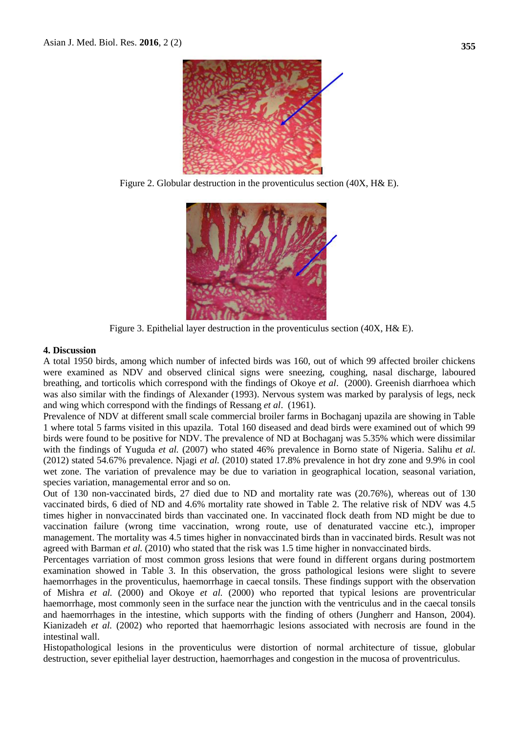

Figure 2. Globular destruction in the proventiculus section (40X, H& E).



Figure 3. Epithelial layer destruction in the proventiculus section (40X, H& E).

#### **4. Discussion**

A total 1950 birds, among which number of infected birds was 160, out of which 99 affected broiler chickens were examined as NDV and observed clinical signs were sneezing, coughing, nasal discharge, laboured breathing, and torticolis which correspond with the findings of Okoye *et al*. (2000). Greenish diarrhoea which was also similar with the findings of [Alexander \(1993\)](http://ci.vbi.vt.edu/pathinfo/pathogens/NCDV_2.html#Alexander5). Nervous system was marked by paralysis of legs, neck and wing which correspond with the findings of Ressang *et al*. (1961).

Prevalence of NDV at different small scale commercial broiler farms in Bochaganj upazila are showing in Table 1 where total 5 farms visited in this upazila. Total 160 diseased and dead birds were examined out of which 99 birds were found to be positive for NDV. The prevalence of ND at Bochaganj was 5.35% which were dissimilar with the findings of Yuguda *et al.* (2007) who stated 46% prevalence in Borno state of Nigeria. Salihu *et al.* (2012) stated 54.67% prevalence. Njagi *et al.* (2010) stated 17.8% prevalence in hot dry zone and 9.9% in cool wet zone. The variation of prevalence may be due to variation in geographical location, seasonal variation, species variation, managemental error and so on.

Out of 130 non-vaccinated birds, 27 died due to ND and mortality rate was (20.76%), whereas out of 130 vaccinated birds, 6 died of ND and 4.6% mortality rate showed in Table 2. The relative risk of NDV was 4.5 times higher in nonvaccinated birds than vaccinated one. In vaccinated flock death from ND might be due to vaccination failure (wrong time vaccination, wrong route, use of denaturated vaccine etc.), improper management. The mortality was 4.5 times higher in nonvaccinated birds than in vaccinated birds. Result was not agreed with Barman *et al.* (2010) who stated that the risk was 1.5 time higher in nonvaccinated birds.

Percentages varriation of most common gross lesions that were found in different organs during postmortem examination showed in Table 3. In this observation, the gross pathological lesions were slight to severe haemorrhages in the proventiculus, haemorrhage in caecal tonsils. These findings support with the observation of Mishra *et al.* (2000) and Okoye *et al.* (2000) who reported that typical lesions are proventricular haemorrhage, most commonly seen in the surface near the junction with the ventriculus and in the caecal tonsils and haemorrhages in the intestine, which supports with the finding of others (Jungherr and Hanson, 2004). Kianizadeh *et al.* (2002) who reported that haemorrhagic lesions associated with necrosis are found in the intestinal wall.

Histopathological lesions in the proventiculus were distortion of normal architecture of tissue, globular destruction, sever epithelial layer destruction, haemorrhages and congestion in the mucosa of proventriculus.